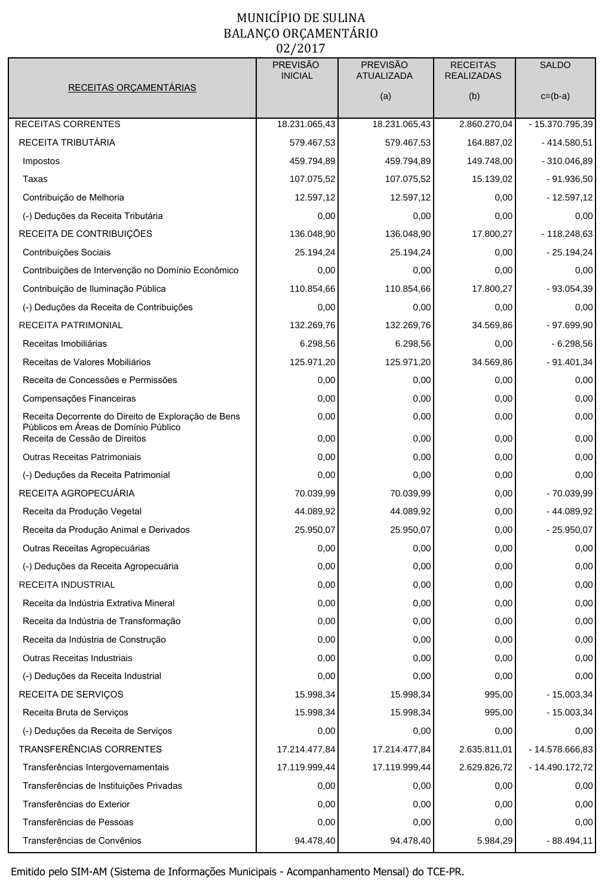## MUNICÍPIO DE SULINA BALANÇO ORÇAMENTÁRIO  $02/2017$

| RECEITAS ORÇAMENTÁRIAS<br>(a)<br>(b)<br>$c=(b-a)$<br><b>RECEITAS CORRENTES</b><br>18.231.065,43<br>18.231.065,43<br>2.860.270,04<br>- 15.370.795,39<br>RECEITA TRIBUTÁRIA<br>579.467,53<br>164.887,02<br>$-414.580.51$<br>579.467,53<br>459.794,89<br>459.794,89<br>149.748,00<br>$-310.046,89$<br>Impostos<br>Taxas<br>107.075,52<br>107.075,52<br>15.139,02<br>$-91.936,50$<br>12.597,12<br>- 12.597,12<br>Contribuição de Melhoria<br>12.597,12<br>0,00<br>(-) Deduções da Receita Tributária<br>0,00<br>0,00<br>0,00<br>0,00<br>RECEITA DE CONTRIBUIÇÕES<br>136.048,90<br>136.048,90<br>17.800,27<br>$-118.248,63$<br>Contribuições Sociais<br>25.194,24<br>$-25.194,24$<br>25.194,24<br>0,00<br>Contribuições de Intervenção no Domínio Econômico<br>0,00<br>0,00<br>0,00<br>0,00<br>Contribuição de Iluminação Pública<br>110.854,66<br>110.854,66<br>17.800,27<br>$-93.054,39$<br>(-) Deduções da Receita de Contribuições<br>0,00<br>0,00<br>0,00<br>0,00<br>RECEITA PATRIMONIAL<br>132.269,76<br>132.269,76<br>34.569,86<br>$-97.699,90$<br>Receitas Imobiliárias<br>6.298,56<br>6.298,56<br>$-6.298,56$<br>0,00<br>Receitas de Valores Mobiliários<br>125.971,20<br>125.971,20<br>34.569,86<br>$-91.401.34$<br>Receita de Concessões e Permissões<br>0,00<br>0,00<br>0,00<br>0,00<br>Compensações Financeiras<br>0,00<br>0,00<br>0,00<br>0,00<br>Receita Decorrente do Direito de Exploração de Bens<br>0,00<br>0,00<br>0,00<br>0,00<br>Públicos em Áreas de Domínio Público<br>Receita de Cessão de Direitos<br>0,00<br>0,00<br>0,00<br>0,00<br>Outras Receitas Patrimoniais<br>0,00<br>0,00<br>0,00<br>0,00<br>(-) Deduções da Receita Patrimonial<br>0,00<br>0,00<br>0,00<br>0,00<br>RECEITA AGROPECUARIA<br>70.039,99<br>70.039,99<br>0,00<br>- 70.039,99<br>Receita da Produção Vegetal<br>44.089,92<br>44.089,92<br>0,00<br>- 44.089,92<br>25.950,07<br>25.950,07<br>0,00<br>$-25.950,07$<br>Receita da Produção Animal e Derivados<br>Outras Receitas Agropecuárias<br>0,00<br>0,00<br>0,00<br>0,00<br>(-) Deduções da Receita Agropecuária<br>0,00<br>0,00<br>0,00<br>0,00<br>RECEITA INDUSTRIAL<br>0,00<br>0,00<br>0,00<br>0,00<br>Receita da Indústria Extrativa Mineral<br>0,00<br>0,00<br>0,00<br>0,00<br>Receita da Indústria de Transformação<br>0,00<br>0,00<br>0,00<br>0,00<br>0,00<br>Receita da Indústria de Construção<br>0,00<br>0,00<br>0,00<br>0,00<br>0,00<br>Outras Receitas Industriais<br>0,00<br>0,00<br>0,00<br>(-) Deduções da Receita Industrial<br>0,00<br>0,00<br>0,00<br>15.998,34<br>RECEITA DE SERVIÇOS<br>15.998,34<br>995,00<br>$-15.003,34$<br>Receita Bruta de Serviços<br>15.998,34<br>15.998,34<br>995,00<br>$-15.003,34$<br>(-) Deduções da Receita de Serviços<br>0,00<br>0,00<br>0,00<br>0,00<br>TRANSFERÊNCIAS CORRENTES<br>17.214.477,84<br>17.214.477,84<br>2.635.811,01<br>- 14.578.666,83<br>Transferências Intergovernamentais<br>17.119.999,44<br>17.119.999,44<br>2.629.826,72<br>$-14.490.172,72$<br>Transferências de Instituições Privadas<br>0,00<br>0,00<br>0,00<br>0,00<br>Transferências do Exterior<br>0,00<br>0,00<br>0,00<br>0,00<br>Transferências de Pessoas<br>0,00<br>0,00<br>0,00<br>0,00<br>Transferências de Convênios<br>94.478,40<br>94.478,40<br>5.984,29<br>- 88.494,11 | <b>PREVISÃO</b><br><b>INICIAL</b> | <b>PREVISÃO</b><br><b>ATUALIZADA</b> | <b>RECEITAS</b><br><b>REALIZADAS</b> | <b>SALDO</b> |
|------------------------------------------------------------------------------------------------------------------------------------------------------------------------------------------------------------------------------------------------------------------------------------------------------------------------------------------------------------------------------------------------------------------------------------------------------------------------------------------------------------------------------------------------------------------------------------------------------------------------------------------------------------------------------------------------------------------------------------------------------------------------------------------------------------------------------------------------------------------------------------------------------------------------------------------------------------------------------------------------------------------------------------------------------------------------------------------------------------------------------------------------------------------------------------------------------------------------------------------------------------------------------------------------------------------------------------------------------------------------------------------------------------------------------------------------------------------------------------------------------------------------------------------------------------------------------------------------------------------------------------------------------------------------------------------------------------------------------------------------------------------------------------------------------------------------------------------------------------------------------------------------------------------------------------------------------------------------------------------------------------------------------------------------------------------------------------------------------------------------------------------------------------------------------------------------------------------------------------------------------------------------------------------------------------------------------------------------------------------------------------------------------------------------------------------------------------------------------------------------------------------------------------------------------------------------------------------------------------------------------------------------------------------------------------------------------------------------------------------------------------------------------------------------------------------------------------------------------------------------------------------------------------------------------------------------------------------------------------------------------------------------------------------------------------------------------------------------------------------------------------------------------------------------------------------------------------------------------------------------------------|-----------------------------------|--------------------------------------|--------------------------------------|--------------|
|                                                                                                                                                                                                                                                                                                                                                                                                                                                                                                                                                                                                                                                                                                                                                                                                                                                                                                                                                                                                                                                                                                                                                                                                                                                                                                                                                                                                                                                                                                                                                                                                                                                                                                                                                                                                                                                                                                                                                                                                                                                                                                                                                                                                                                                                                                                                                                                                                                                                                                                                                                                                                                                                                                                                                                                                                                                                                                                                                                                                                                                                                                                                                                                                                                                            |                                   |                                      |                                      |              |
|                                                                                                                                                                                                                                                                                                                                                                                                                                                                                                                                                                                                                                                                                                                                                                                                                                                                                                                                                                                                                                                                                                                                                                                                                                                                                                                                                                                                                                                                                                                                                                                                                                                                                                                                                                                                                                                                                                                                                                                                                                                                                                                                                                                                                                                                                                                                                                                                                                                                                                                                                                                                                                                                                                                                                                                                                                                                                                                                                                                                                                                                                                                                                                                                                                                            |                                   |                                      |                                      |              |
|                                                                                                                                                                                                                                                                                                                                                                                                                                                                                                                                                                                                                                                                                                                                                                                                                                                                                                                                                                                                                                                                                                                                                                                                                                                                                                                                                                                                                                                                                                                                                                                                                                                                                                                                                                                                                                                                                                                                                                                                                                                                                                                                                                                                                                                                                                                                                                                                                                                                                                                                                                                                                                                                                                                                                                                                                                                                                                                                                                                                                                                                                                                                                                                                                                                            |                                   |                                      |                                      |              |
|                                                                                                                                                                                                                                                                                                                                                                                                                                                                                                                                                                                                                                                                                                                                                                                                                                                                                                                                                                                                                                                                                                                                                                                                                                                                                                                                                                                                                                                                                                                                                                                                                                                                                                                                                                                                                                                                                                                                                                                                                                                                                                                                                                                                                                                                                                                                                                                                                                                                                                                                                                                                                                                                                                                                                                                                                                                                                                                                                                                                                                                                                                                                                                                                                                                            |                                   |                                      |                                      |              |
|                                                                                                                                                                                                                                                                                                                                                                                                                                                                                                                                                                                                                                                                                                                                                                                                                                                                                                                                                                                                                                                                                                                                                                                                                                                                                                                                                                                                                                                                                                                                                                                                                                                                                                                                                                                                                                                                                                                                                                                                                                                                                                                                                                                                                                                                                                                                                                                                                                                                                                                                                                                                                                                                                                                                                                                                                                                                                                                                                                                                                                                                                                                                                                                                                                                            |                                   |                                      |                                      |              |
|                                                                                                                                                                                                                                                                                                                                                                                                                                                                                                                                                                                                                                                                                                                                                                                                                                                                                                                                                                                                                                                                                                                                                                                                                                                                                                                                                                                                                                                                                                                                                                                                                                                                                                                                                                                                                                                                                                                                                                                                                                                                                                                                                                                                                                                                                                                                                                                                                                                                                                                                                                                                                                                                                                                                                                                                                                                                                                                                                                                                                                                                                                                                                                                                                                                            |                                   |                                      |                                      |              |
|                                                                                                                                                                                                                                                                                                                                                                                                                                                                                                                                                                                                                                                                                                                                                                                                                                                                                                                                                                                                                                                                                                                                                                                                                                                                                                                                                                                                                                                                                                                                                                                                                                                                                                                                                                                                                                                                                                                                                                                                                                                                                                                                                                                                                                                                                                                                                                                                                                                                                                                                                                                                                                                                                                                                                                                                                                                                                                                                                                                                                                                                                                                                                                                                                                                            |                                   |                                      |                                      |              |
|                                                                                                                                                                                                                                                                                                                                                                                                                                                                                                                                                                                                                                                                                                                                                                                                                                                                                                                                                                                                                                                                                                                                                                                                                                                                                                                                                                                                                                                                                                                                                                                                                                                                                                                                                                                                                                                                                                                                                                                                                                                                                                                                                                                                                                                                                                                                                                                                                                                                                                                                                                                                                                                                                                                                                                                                                                                                                                                                                                                                                                                                                                                                                                                                                                                            |                                   |                                      |                                      |              |
|                                                                                                                                                                                                                                                                                                                                                                                                                                                                                                                                                                                                                                                                                                                                                                                                                                                                                                                                                                                                                                                                                                                                                                                                                                                                                                                                                                                                                                                                                                                                                                                                                                                                                                                                                                                                                                                                                                                                                                                                                                                                                                                                                                                                                                                                                                                                                                                                                                                                                                                                                                                                                                                                                                                                                                                                                                                                                                                                                                                                                                                                                                                                                                                                                                                            |                                   |                                      |                                      |              |
|                                                                                                                                                                                                                                                                                                                                                                                                                                                                                                                                                                                                                                                                                                                                                                                                                                                                                                                                                                                                                                                                                                                                                                                                                                                                                                                                                                                                                                                                                                                                                                                                                                                                                                                                                                                                                                                                                                                                                                                                                                                                                                                                                                                                                                                                                                                                                                                                                                                                                                                                                                                                                                                                                                                                                                                                                                                                                                                                                                                                                                                                                                                                                                                                                                                            |                                   |                                      |                                      |              |
|                                                                                                                                                                                                                                                                                                                                                                                                                                                                                                                                                                                                                                                                                                                                                                                                                                                                                                                                                                                                                                                                                                                                                                                                                                                                                                                                                                                                                                                                                                                                                                                                                                                                                                                                                                                                                                                                                                                                                                                                                                                                                                                                                                                                                                                                                                                                                                                                                                                                                                                                                                                                                                                                                                                                                                                                                                                                                                                                                                                                                                                                                                                                                                                                                                                            |                                   |                                      |                                      |              |
|                                                                                                                                                                                                                                                                                                                                                                                                                                                                                                                                                                                                                                                                                                                                                                                                                                                                                                                                                                                                                                                                                                                                                                                                                                                                                                                                                                                                                                                                                                                                                                                                                                                                                                                                                                                                                                                                                                                                                                                                                                                                                                                                                                                                                                                                                                                                                                                                                                                                                                                                                                                                                                                                                                                                                                                                                                                                                                                                                                                                                                                                                                                                                                                                                                                            |                                   |                                      |                                      |              |
|                                                                                                                                                                                                                                                                                                                                                                                                                                                                                                                                                                                                                                                                                                                                                                                                                                                                                                                                                                                                                                                                                                                                                                                                                                                                                                                                                                                                                                                                                                                                                                                                                                                                                                                                                                                                                                                                                                                                                                                                                                                                                                                                                                                                                                                                                                                                                                                                                                                                                                                                                                                                                                                                                                                                                                                                                                                                                                                                                                                                                                                                                                                                                                                                                                                            |                                   |                                      |                                      |              |
|                                                                                                                                                                                                                                                                                                                                                                                                                                                                                                                                                                                                                                                                                                                                                                                                                                                                                                                                                                                                                                                                                                                                                                                                                                                                                                                                                                                                                                                                                                                                                                                                                                                                                                                                                                                                                                                                                                                                                                                                                                                                                                                                                                                                                                                                                                                                                                                                                                                                                                                                                                                                                                                                                                                                                                                                                                                                                                                                                                                                                                                                                                                                                                                                                                                            |                                   |                                      |                                      |              |
|                                                                                                                                                                                                                                                                                                                                                                                                                                                                                                                                                                                                                                                                                                                                                                                                                                                                                                                                                                                                                                                                                                                                                                                                                                                                                                                                                                                                                                                                                                                                                                                                                                                                                                                                                                                                                                                                                                                                                                                                                                                                                                                                                                                                                                                                                                                                                                                                                                                                                                                                                                                                                                                                                                                                                                                                                                                                                                                                                                                                                                                                                                                                                                                                                                                            |                                   |                                      |                                      |              |
|                                                                                                                                                                                                                                                                                                                                                                                                                                                                                                                                                                                                                                                                                                                                                                                                                                                                                                                                                                                                                                                                                                                                                                                                                                                                                                                                                                                                                                                                                                                                                                                                                                                                                                                                                                                                                                                                                                                                                                                                                                                                                                                                                                                                                                                                                                                                                                                                                                                                                                                                                                                                                                                                                                                                                                                                                                                                                                                                                                                                                                                                                                                                                                                                                                                            |                                   |                                      |                                      |              |
|                                                                                                                                                                                                                                                                                                                                                                                                                                                                                                                                                                                                                                                                                                                                                                                                                                                                                                                                                                                                                                                                                                                                                                                                                                                                                                                                                                                                                                                                                                                                                                                                                                                                                                                                                                                                                                                                                                                                                                                                                                                                                                                                                                                                                                                                                                                                                                                                                                                                                                                                                                                                                                                                                                                                                                                                                                                                                                                                                                                                                                                                                                                                                                                                                                                            |                                   |                                      |                                      |              |
|                                                                                                                                                                                                                                                                                                                                                                                                                                                                                                                                                                                                                                                                                                                                                                                                                                                                                                                                                                                                                                                                                                                                                                                                                                                                                                                                                                                                                                                                                                                                                                                                                                                                                                                                                                                                                                                                                                                                                                                                                                                                                                                                                                                                                                                                                                                                                                                                                                                                                                                                                                                                                                                                                                                                                                                                                                                                                                                                                                                                                                                                                                                                                                                                                                                            |                                   |                                      |                                      |              |
|                                                                                                                                                                                                                                                                                                                                                                                                                                                                                                                                                                                                                                                                                                                                                                                                                                                                                                                                                                                                                                                                                                                                                                                                                                                                                                                                                                                                                                                                                                                                                                                                                                                                                                                                                                                                                                                                                                                                                                                                                                                                                                                                                                                                                                                                                                                                                                                                                                                                                                                                                                                                                                                                                                                                                                                                                                                                                                                                                                                                                                                                                                                                                                                                                                                            |                                   |                                      |                                      |              |
|                                                                                                                                                                                                                                                                                                                                                                                                                                                                                                                                                                                                                                                                                                                                                                                                                                                                                                                                                                                                                                                                                                                                                                                                                                                                                                                                                                                                                                                                                                                                                                                                                                                                                                                                                                                                                                                                                                                                                                                                                                                                                                                                                                                                                                                                                                                                                                                                                                                                                                                                                                                                                                                                                                                                                                                                                                                                                                                                                                                                                                                                                                                                                                                                                                                            |                                   |                                      |                                      |              |
|                                                                                                                                                                                                                                                                                                                                                                                                                                                                                                                                                                                                                                                                                                                                                                                                                                                                                                                                                                                                                                                                                                                                                                                                                                                                                                                                                                                                                                                                                                                                                                                                                                                                                                                                                                                                                                                                                                                                                                                                                                                                                                                                                                                                                                                                                                                                                                                                                                                                                                                                                                                                                                                                                                                                                                                                                                                                                                                                                                                                                                                                                                                                                                                                                                                            |                                   |                                      |                                      |              |
|                                                                                                                                                                                                                                                                                                                                                                                                                                                                                                                                                                                                                                                                                                                                                                                                                                                                                                                                                                                                                                                                                                                                                                                                                                                                                                                                                                                                                                                                                                                                                                                                                                                                                                                                                                                                                                                                                                                                                                                                                                                                                                                                                                                                                                                                                                                                                                                                                                                                                                                                                                                                                                                                                                                                                                                                                                                                                                                                                                                                                                                                                                                                                                                                                                                            |                                   |                                      |                                      |              |
|                                                                                                                                                                                                                                                                                                                                                                                                                                                                                                                                                                                                                                                                                                                                                                                                                                                                                                                                                                                                                                                                                                                                                                                                                                                                                                                                                                                                                                                                                                                                                                                                                                                                                                                                                                                                                                                                                                                                                                                                                                                                                                                                                                                                                                                                                                                                                                                                                                                                                                                                                                                                                                                                                                                                                                                                                                                                                                                                                                                                                                                                                                                                                                                                                                                            |                                   |                                      |                                      |              |
|                                                                                                                                                                                                                                                                                                                                                                                                                                                                                                                                                                                                                                                                                                                                                                                                                                                                                                                                                                                                                                                                                                                                                                                                                                                                                                                                                                                                                                                                                                                                                                                                                                                                                                                                                                                                                                                                                                                                                                                                                                                                                                                                                                                                                                                                                                                                                                                                                                                                                                                                                                                                                                                                                                                                                                                                                                                                                                                                                                                                                                                                                                                                                                                                                                                            |                                   |                                      |                                      |              |
|                                                                                                                                                                                                                                                                                                                                                                                                                                                                                                                                                                                                                                                                                                                                                                                                                                                                                                                                                                                                                                                                                                                                                                                                                                                                                                                                                                                                                                                                                                                                                                                                                                                                                                                                                                                                                                                                                                                                                                                                                                                                                                                                                                                                                                                                                                                                                                                                                                                                                                                                                                                                                                                                                                                                                                                                                                                                                                                                                                                                                                                                                                                                                                                                                                                            |                                   |                                      |                                      |              |
|                                                                                                                                                                                                                                                                                                                                                                                                                                                                                                                                                                                                                                                                                                                                                                                                                                                                                                                                                                                                                                                                                                                                                                                                                                                                                                                                                                                                                                                                                                                                                                                                                                                                                                                                                                                                                                                                                                                                                                                                                                                                                                                                                                                                                                                                                                                                                                                                                                                                                                                                                                                                                                                                                                                                                                                                                                                                                                                                                                                                                                                                                                                                                                                                                                                            |                                   |                                      |                                      |              |
|                                                                                                                                                                                                                                                                                                                                                                                                                                                                                                                                                                                                                                                                                                                                                                                                                                                                                                                                                                                                                                                                                                                                                                                                                                                                                                                                                                                                                                                                                                                                                                                                                                                                                                                                                                                                                                                                                                                                                                                                                                                                                                                                                                                                                                                                                                                                                                                                                                                                                                                                                                                                                                                                                                                                                                                                                                                                                                                                                                                                                                                                                                                                                                                                                                                            |                                   |                                      |                                      |              |
|                                                                                                                                                                                                                                                                                                                                                                                                                                                                                                                                                                                                                                                                                                                                                                                                                                                                                                                                                                                                                                                                                                                                                                                                                                                                                                                                                                                                                                                                                                                                                                                                                                                                                                                                                                                                                                                                                                                                                                                                                                                                                                                                                                                                                                                                                                                                                                                                                                                                                                                                                                                                                                                                                                                                                                                                                                                                                                                                                                                                                                                                                                                                                                                                                                                            |                                   |                                      |                                      |              |
|                                                                                                                                                                                                                                                                                                                                                                                                                                                                                                                                                                                                                                                                                                                                                                                                                                                                                                                                                                                                                                                                                                                                                                                                                                                                                                                                                                                                                                                                                                                                                                                                                                                                                                                                                                                                                                                                                                                                                                                                                                                                                                                                                                                                                                                                                                                                                                                                                                                                                                                                                                                                                                                                                                                                                                                                                                                                                                                                                                                                                                                                                                                                                                                                                                                            |                                   |                                      |                                      |              |
|                                                                                                                                                                                                                                                                                                                                                                                                                                                                                                                                                                                                                                                                                                                                                                                                                                                                                                                                                                                                                                                                                                                                                                                                                                                                                                                                                                                                                                                                                                                                                                                                                                                                                                                                                                                                                                                                                                                                                                                                                                                                                                                                                                                                                                                                                                                                                                                                                                                                                                                                                                                                                                                                                                                                                                                                                                                                                                                                                                                                                                                                                                                                                                                                                                                            |                                   |                                      |                                      |              |
|                                                                                                                                                                                                                                                                                                                                                                                                                                                                                                                                                                                                                                                                                                                                                                                                                                                                                                                                                                                                                                                                                                                                                                                                                                                                                                                                                                                                                                                                                                                                                                                                                                                                                                                                                                                                                                                                                                                                                                                                                                                                                                                                                                                                                                                                                                                                                                                                                                                                                                                                                                                                                                                                                                                                                                                                                                                                                                                                                                                                                                                                                                                                                                                                                                                            |                                   |                                      |                                      |              |
|                                                                                                                                                                                                                                                                                                                                                                                                                                                                                                                                                                                                                                                                                                                                                                                                                                                                                                                                                                                                                                                                                                                                                                                                                                                                                                                                                                                                                                                                                                                                                                                                                                                                                                                                                                                                                                                                                                                                                                                                                                                                                                                                                                                                                                                                                                                                                                                                                                                                                                                                                                                                                                                                                                                                                                                                                                                                                                                                                                                                                                                                                                                                                                                                                                                            |                                   |                                      |                                      |              |
|                                                                                                                                                                                                                                                                                                                                                                                                                                                                                                                                                                                                                                                                                                                                                                                                                                                                                                                                                                                                                                                                                                                                                                                                                                                                                                                                                                                                                                                                                                                                                                                                                                                                                                                                                                                                                                                                                                                                                                                                                                                                                                                                                                                                                                                                                                                                                                                                                                                                                                                                                                                                                                                                                                                                                                                                                                                                                                                                                                                                                                                                                                                                                                                                                                                            |                                   |                                      |                                      |              |
|                                                                                                                                                                                                                                                                                                                                                                                                                                                                                                                                                                                                                                                                                                                                                                                                                                                                                                                                                                                                                                                                                                                                                                                                                                                                                                                                                                                                                                                                                                                                                                                                                                                                                                                                                                                                                                                                                                                                                                                                                                                                                                                                                                                                                                                                                                                                                                                                                                                                                                                                                                                                                                                                                                                                                                                                                                                                                                                                                                                                                                                                                                                                                                                                                                                            |                                   |                                      |                                      |              |
|                                                                                                                                                                                                                                                                                                                                                                                                                                                                                                                                                                                                                                                                                                                                                                                                                                                                                                                                                                                                                                                                                                                                                                                                                                                                                                                                                                                                                                                                                                                                                                                                                                                                                                                                                                                                                                                                                                                                                                                                                                                                                                                                                                                                                                                                                                                                                                                                                                                                                                                                                                                                                                                                                                                                                                                                                                                                                                                                                                                                                                                                                                                                                                                                                                                            |                                   |                                      |                                      |              |
|                                                                                                                                                                                                                                                                                                                                                                                                                                                                                                                                                                                                                                                                                                                                                                                                                                                                                                                                                                                                                                                                                                                                                                                                                                                                                                                                                                                                                                                                                                                                                                                                                                                                                                                                                                                                                                                                                                                                                                                                                                                                                                                                                                                                                                                                                                                                                                                                                                                                                                                                                                                                                                                                                                                                                                                                                                                                                                                                                                                                                                                                                                                                                                                                                                                            |                                   |                                      |                                      |              |
|                                                                                                                                                                                                                                                                                                                                                                                                                                                                                                                                                                                                                                                                                                                                                                                                                                                                                                                                                                                                                                                                                                                                                                                                                                                                                                                                                                                                                                                                                                                                                                                                                                                                                                                                                                                                                                                                                                                                                                                                                                                                                                                                                                                                                                                                                                                                                                                                                                                                                                                                                                                                                                                                                                                                                                                                                                                                                                                                                                                                                                                                                                                                                                                                                                                            |                                   |                                      |                                      |              |
|                                                                                                                                                                                                                                                                                                                                                                                                                                                                                                                                                                                                                                                                                                                                                                                                                                                                                                                                                                                                                                                                                                                                                                                                                                                                                                                                                                                                                                                                                                                                                                                                                                                                                                                                                                                                                                                                                                                                                                                                                                                                                                                                                                                                                                                                                                                                                                                                                                                                                                                                                                                                                                                                                                                                                                                                                                                                                                                                                                                                                                                                                                                                                                                                                                                            |                                   |                                      |                                      |              |
|                                                                                                                                                                                                                                                                                                                                                                                                                                                                                                                                                                                                                                                                                                                                                                                                                                                                                                                                                                                                                                                                                                                                                                                                                                                                                                                                                                                                                                                                                                                                                                                                                                                                                                                                                                                                                                                                                                                                                                                                                                                                                                                                                                                                                                                                                                                                                                                                                                                                                                                                                                                                                                                                                                                                                                                                                                                                                                                                                                                                                                                                                                                                                                                                                                                            |                                   |                                      |                                      |              |
|                                                                                                                                                                                                                                                                                                                                                                                                                                                                                                                                                                                                                                                                                                                                                                                                                                                                                                                                                                                                                                                                                                                                                                                                                                                                                                                                                                                                                                                                                                                                                                                                                                                                                                                                                                                                                                                                                                                                                                                                                                                                                                                                                                                                                                                                                                                                                                                                                                                                                                                                                                                                                                                                                                                                                                                                                                                                                                                                                                                                                                                                                                                                                                                                                                                            |                                   |                                      |                                      |              |
|                                                                                                                                                                                                                                                                                                                                                                                                                                                                                                                                                                                                                                                                                                                                                                                                                                                                                                                                                                                                                                                                                                                                                                                                                                                                                                                                                                                                                                                                                                                                                                                                                                                                                                                                                                                                                                                                                                                                                                                                                                                                                                                                                                                                                                                                                                                                                                                                                                                                                                                                                                                                                                                                                                                                                                                                                                                                                                                                                                                                                                                                                                                                                                                                                                                            |                                   |                                      |                                      |              |
|                                                                                                                                                                                                                                                                                                                                                                                                                                                                                                                                                                                                                                                                                                                                                                                                                                                                                                                                                                                                                                                                                                                                                                                                                                                                                                                                                                                                                                                                                                                                                                                                                                                                                                                                                                                                                                                                                                                                                                                                                                                                                                                                                                                                                                                                                                                                                                                                                                                                                                                                                                                                                                                                                                                                                                                                                                                                                                                                                                                                                                                                                                                                                                                                                                                            |                                   |                                      |                                      |              |

Emitido pelo SIM-AM (Sistema de Informações Municipais - Acompanhamento Mensal) do TCE-PR.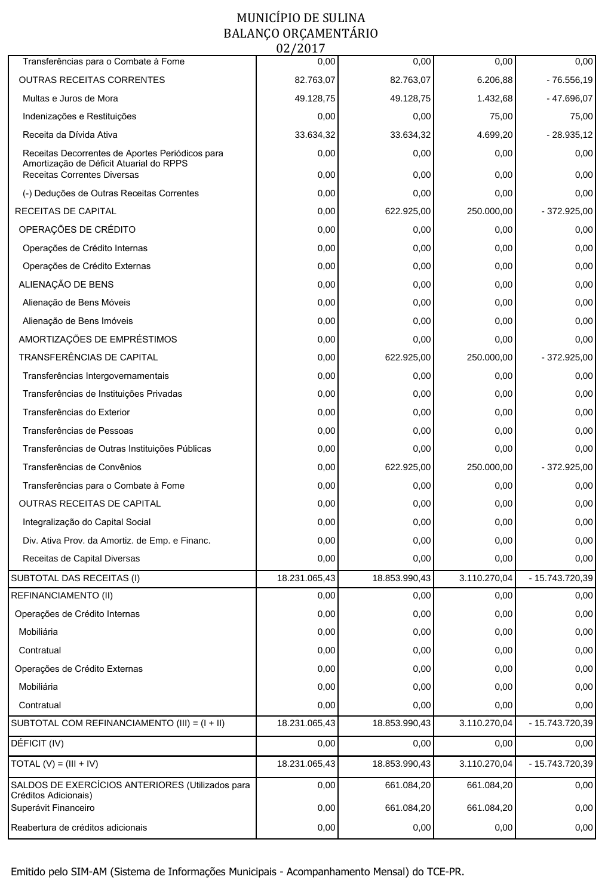## MUNICÍPIO DE SULINA BALANÇO ORÇAMENTÁRIO<br>02/2017

| Transferências para o Combate à Fome                                                                                             | 0,00          | 0,00          | 0,00         | 0,00            |
|----------------------------------------------------------------------------------------------------------------------------------|---------------|---------------|--------------|-----------------|
| <b>OUTRAS RECEITAS CORRENTES</b>                                                                                                 | 82.763,07     | 82.763,07     | 6.206,88     | $-76.556,19$    |
| Multas e Juros de Mora                                                                                                           | 49.128,75     | 49.128,75     | 1.432,68     | $-47.696,07$    |
| Indenizações e Restituições                                                                                                      | 0,00          | 0,00          | 75,00        | 75,00           |
| Receita da Dívida Ativa                                                                                                          | 33.634,32     | 33.634,32     | 4.699,20     | $-28.935,12$    |
| Receitas Decorrentes de Aportes Periódicos para<br>Amortização de Déficit Atuarial do RPPS<br><b>Receitas Correntes Diversas</b> | 0,00<br>0,00  | 0,00<br>0,00  | 0,00<br>0,00 | 0,00<br>0,00    |
| (-) Deduções de Outras Receitas Correntes                                                                                        | 0,00          | 0,00          | 0,00         | 0,00            |
| RECEITAS DE CAPITAL                                                                                                              | 0,00          | 622.925,00    | 250.000,00   | $-372.925,00$   |
| OPERAÇÕES DE CRÉDITO                                                                                                             | 0,00          | 0,00          | 0,00         | 0,00            |
|                                                                                                                                  |               |               |              |                 |
| Operações de Crédito Internas                                                                                                    | 0,00          | 0,00          | 0,00         | 0,00            |
| Operações de Crédito Externas                                                                                                    | 0,00          | 0,00          | 0,00         | 0,00            |
| ALIENAÇÃO DE BENS                                                                                                                | 0,00          | 0,00          | 0,00         | 0,00            |
| Alienação de Bens Móveis                                                                                                         | 0,00          | 0,00          | 0,00         | 0,00            |
| Alienação de Bens Imóveis                                                                                                        | 0,00          | 0,00          | 0,00         | 0,00            |
| AMORTIZAÇÕES DE EMPRÉSTIMOS                                                                                                      | 0,00          | 0,00          | 0,00         | 0,00            |
| TRANSFERÊNCIAS DE CAPITAL                                                                                                        | 0,00          | 622.925,00    | 250.000,00   | $-372.925,00$   |
| Transferências Intergovernamentais                                                                                               | 0,00          | 0,00          | 0,00         | 0,00            |
| Transferências de Instituições Privadas                                                                                          | 0,00          | 0,00          | 0,00         | 0,00            |
| Transferências do Exterior                                                                                                       | 0,00          | 0,00          | 0,00         | 0,00            |
| Transferências de Pessoas                                                                                                        | 0,00          | 0,00          | 0,00         | 0,00            |
| Transferências de Outras Instituições Públicas                                                                                   | 0,00          | 0,00          | 0,00         | 0,00            |
| Transferências de Convênios                                                                                                      | 0,00          | 622.925,00    | 250.000,00   | $-372.925,00$   |
| Transferências para o Combate à Fome                                                                                             | 0,00          | 0,00          | 0,00         | 0,00            |
| OUTRAS RECEITAS DE CAPITAL                                                                                                       | 0,00          | 0,00          | 0,00         | 0,00            |
| Integralização do Capital Social                                                                                                 | 0,00          | 0,00          | 0,00         | 0,00            |
| Div. Ativa Prov. da Amortiz. de Emp. e Financ.                                                                                   | 0,00          | 0,00          | 0,00         | 0,00            |
| Receitas de Capital Diversas                                                                                                     | 0,00          | 0,00          | 0,00         | 0,00            |
| SUBTOTAL DAS RECEITAS (I)                                                                                                        | 18.231.065,43 | 18.853.990,43 | 3.110.270,04 | - 15.743.720,39 |
| REFINANCIAMENTO (II)                                                                                                             | 0,00          | 0,00          | 0,00         | 0,00            |
| Operações de Crédito Internas                                                                                                    | 0,00          | 0,00          | 0,00         | 0,00            |
| Mobiliária                                                                                                                       | 0,00          | 0,00          | 0,00         | 0,00            |
| Contratual                                                                                                                       | 0,00          | 0,00          | 0,00         | 0,00            |
| Operações de Crédito Externas                                                                                                    | 0,00          | 0,00          | 0,00         | 0,00            |
| Mobiliária                                                                                                                       | 0,00          | 0,00          | 0,00         | 0,00            |
| Contratual                                                                                                                       | 0,00          | 0,00          | 0,00         | 0,00            |
| SUBTOTAL COM REFINANCIAMENTO (III) = $(I + II)$                                                                                  | 18.231.065,43 | 18.853.990,43 | 3.110.270,04 | - 15.743.720,39 |
| DÉFICIT (IV)                                                                                                                     | 0,00          | 0,00          | 0,00         | 0,00            |
| TOTAL $(V) = (III + IV)$                                                                                                         | 18.231.065,43 | 18.853.990,43 | 3.110.270,04 | - 15.743.720,39 |
| SALDOS DE EXERCÍCIOS ANTERIORES (Utilizados para                                                                                 | 0,00          | 661.084,20    | 661.084,20   | 0,00            |
| Créditos Adicionais)<br>Superávit Financeiro                                                                                     | 0,00          | 661.084,20    | 661.084,20   | 0,00            |
| Reabertura de créditos adicionais                                                                                                | 0,00          | 0,00          | 0,00         | 0,00            |
|                                                                                                                                  |               |               |              |                 |

Emitido pelo SIM-AM (Sistema de Informações Municipais - Acompanhamento Mensal) do TCE-PR.